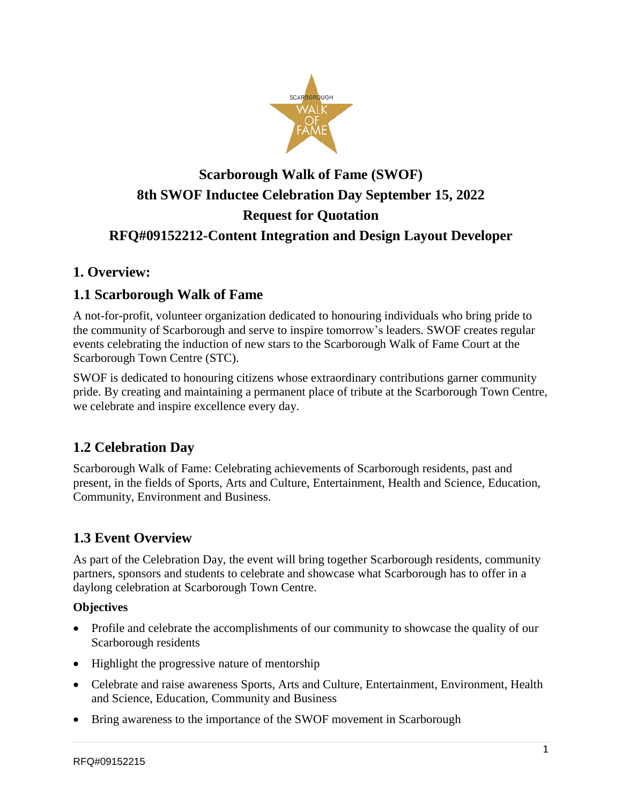

# **Scarborough Walk of Fame (SWOF) 8th SWOF Inductee Celebration Day September 15, 2022 Request for Quotation RFQ#09152212-Content Integration and Design Layout Developer**

### **1. Overview:**

### **1.1 Scarborough Walk of Fame**

A not-for-profit, volunteer organization dedicated to honouring individuals who bring pride to the community of Scarborough and serve to inspire tomorrow's leaders. SWOF creates regular events celebrating the induction of new stars to the Scarborough Walk of Fame Court at the Scarborough Town Centre (STC).

SWOF is dedicated to honouring citizens whose extraordinary contributions garner community pride. By creating and maintaining a permanent place of tribute at the Scarborough Town Centre, we celebrate and inspire excellence every day.

# **1.2 Celebration Day**

Scarborough Walk of Fame: Celebrating achievements of Scarborough residents, past and present, in the fields of Sports, Arts and Culture, Entertainment, Health and Science, Education, Community, Environment and Business.

# **1.3 Event Overview**

As part of the Celebration Day, the event will bring together Scarborough residents, community partners, sponsors and students to celebrate and showcase what Scarborough has to offer in a daylong celebration at Scarborough Town Centre.

#### **Objectives**

- Profile and celebrate the accomplishments of our community to showcase the quality of our Scarborough residents
- Highlight the progressive nature of mentorship
- Celebrate and raise awareness Sports, Arts and Culture, Entertainment, Environment, Health and Science, Education, Community and Business
- Bring awareness to the importance of the SWOF movement in Scarborough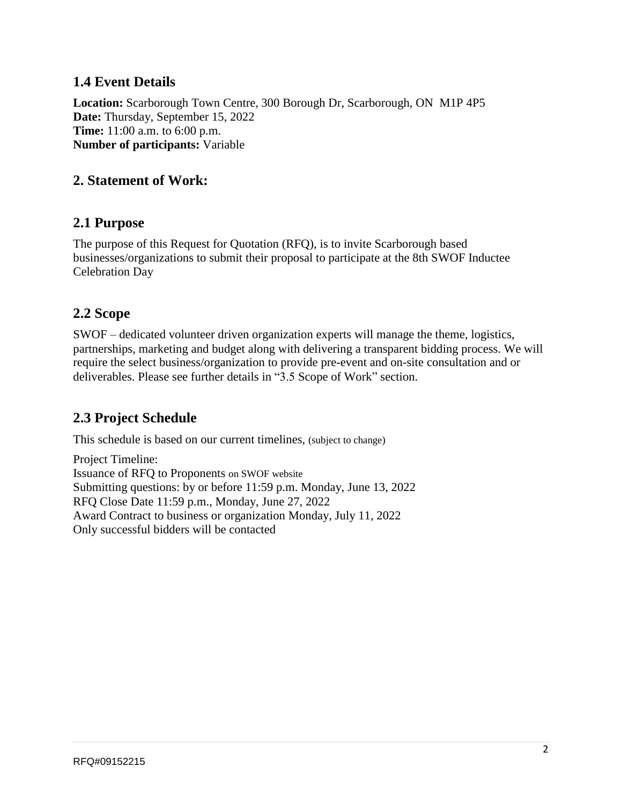### **1.4 Event Details**

**Location:** Scarborough Town Centre, 300 Borough Dr, Scarborough, ON M1P 4P5 **Date:** Thursday, September 15, 2022 **Time:** 11:00 a.m. to 6:00 p.m. **Number of participants:** Variable

#### **2. Statement of Work:**

#### **2.1 Purpose**

The purpose of this Request for Quotation (RFQ), is to invite Scarborough based businesses/organizations to submit their proposal to participate at the 8th SWOF Inductee Celebration Day

#### **2.2 Scope**

SWOF – dedicated volunteer driven organization experts will manage the theme, logistics, partnerships, marketing and budget along with delivering a transparent bidding process. We will require the select business/organization to provide pre-event and on-site consultation and or deliverables. Please see further details in "3.5 Scope of Work" section.

### **2.3 Project Schedule**

This schedule is based on our current timelines, (subject to change)

Project Timeline: Issuance of RFQ to Proponents on SWOF website Submitting questions: by or before 11:59 p.m. Monday, June 13, 2022 RFQ Close Date 11:59 p.m., Monday, June 27, 2022 Award Contract to business or organization Monday, July 11, 2022 Only successful bidders will be contacted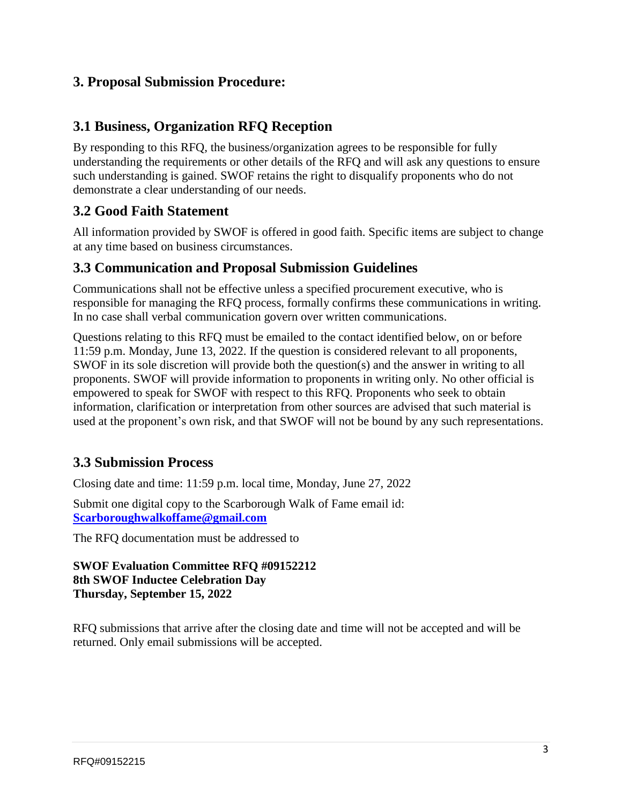#### **3. Proposal Submission Procedure:**

#### **3.1 Business, Organization RFQ Reception**

By responding to this RFQ, the business/organization agrees to be responsible for fully understanding the requirements or other details of the RFQ and will ask any questions to ensure such understanding is gained. SWOF retains the right to disqualify proponents who do not demonstrate a clear understanding of our needs.

### **3.2 Good Faith Statement**

All information provided by SWOF is offered in good faith. Specific items are subject to change at any time based on business circumstances.

#### **3.3 Communication and Proposal Submission Guidelines**

Communications shall not be effective unless a specified procurement executive, who is responsible for managing the RFQ process, formally confirms these communications in writing. In no case shall verbal communication govern over written communications.

Questions relating to this RFQ must be emailed to the contact identified below, on or before 11:59 p.m. Monday, June 13, 2022. If the question is considered relevant to all proponents, SWOF in its sole discretion will provide both the question(s) and the answer in writing to all proponents. SWOF will provide information to proponents in writing only. No other official is empowered to speak for SWOF with respect to this RFQ. Proponents who seek to obtain information, clarification or interpretation from other sources are advised that such material is used at the proponent's own risk, and that SWOF will not be bound by any such representations.

### **3.3 Submission Process**

Closing date and time: 11:59 p.m. local time, Monday, June 27, 2022

Submit one digital copy to the Scarborough Walk of Fame email id: **[Scarboroughwalkoffame@gmail.com](mailto:Scarboroughwalkoffame@gmail.com)**

The RFQ documentation must be addressed to

#### **SWOF Evaluation Committee RFQ #09152212 8th SWOF Inductee Celebration Day Thursday, September 15, 2022**

RFQ submissions that arrive after the closing date and time will not be accepted and will be returned. Only email submissions will be accepted.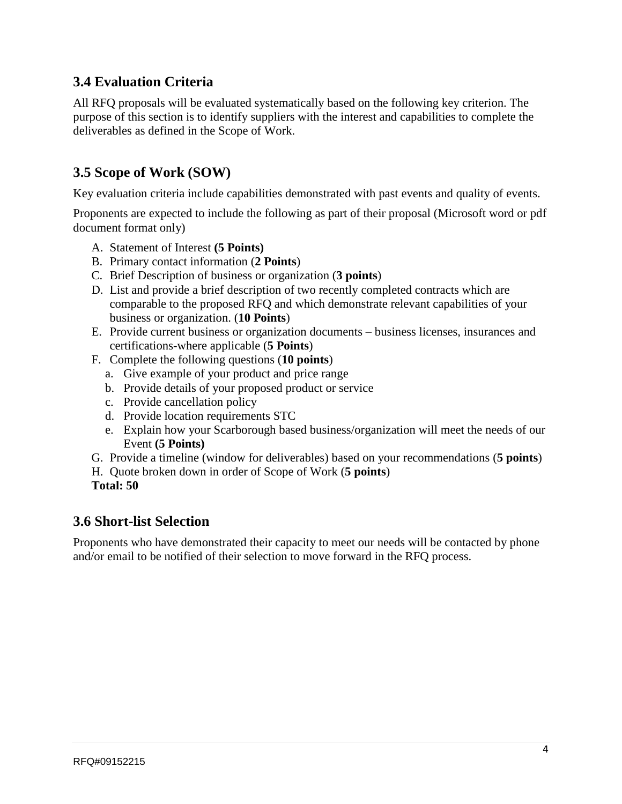# **3.4 Evaluation Criteria**

All RFQ proposals will be evaluated systematically based on the following key criterion. The purpose of this section is to identify suppliers with the interest and capabilities to complete the deliverables as defined in the Scope of Work.

### **3.5 Scope of Work (SOW)**

Key evaluation criteria include capabilities demonstrated with past events and quality of events.

Proponents are expected to include the following as part of their proposal (Microsoft word or pdf document format only)

- A. Statement of Interest **(5 Points)**
- B. Primary contact information (**2 Points**)
- C. Brief Description of business or organization (**3 points**)
- D. List and provide a brief description of two recently completed contracts which are comparable to the proposed RFQ and which demonstrate relevant capabilities of your business or organization. (**10 Points**)
- E. Provide current business or organization documents business licenses, insurances and certifications-where applicable (**5 Points**)
- F. Complete the following questions (**10 points**)
	- a. Give example of your product and price range
	- b. Provide details of your proposed product or service
	- c. Provide cancellation policy
	- d. Provide location requirements STC
	- e. Explain how your Scarborough based business/organization will meet the needs of our Event **(5 Points)**
- G. Provide a timeline (window for deliverables) based on your recommendations (**5 points**)
- H. Quote broken down in order of Scope of Work (**5 points**)
- **Total: 50**

#### **3.6 Short-list Selection**

Proponents who have demonstrated their capacity to meet our needs will be contacted by phone and/or email to be notified of their selection to move forward in the RFQ process.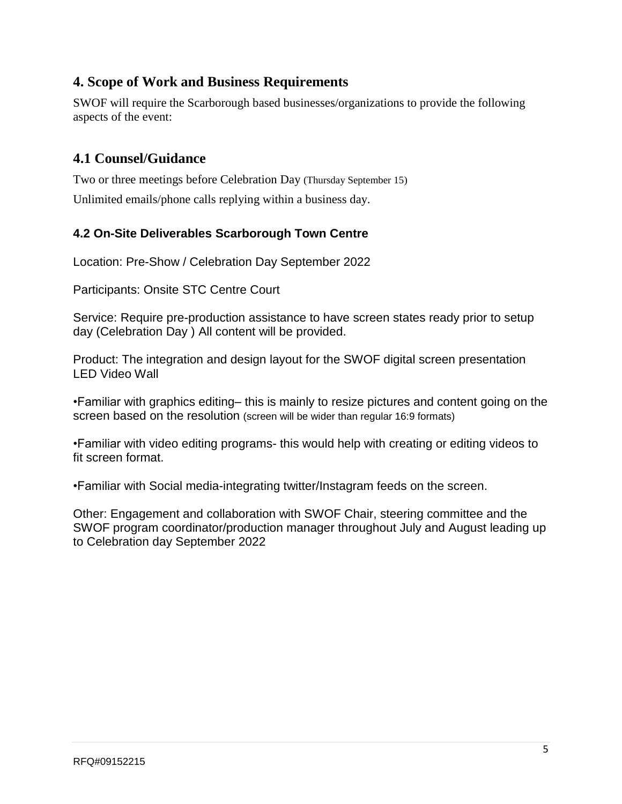### **4. Scope of Work and Business Requirements**

SWOF will require the Scarborough based businesses/organizations to provide the following aspects of the event:

### **4.1 Counsel/Guidance**

Two or three meetings before Celebration Day (Thursday September 15) Unlimited emails/phone calls replying within a business day.

#### **4.2 On-Site Deliverables Scarborough Town Centre**

Location: Pre-Show / Celebration Day September 2022

Participants: Onsite STC Centre Court

Service: Require pre-production assistance to have screen states ready prior to setup day (Celebration Day ) All content will be provided.

Product: The integration and design layout for the SWOF digital screen presentation LED Video Wall

•Familiar with graphics editing– this is mainly to resize pictures and content going on the screen based on the resolution (screen will be wider than regular 16:9 formats)

•Familiar with video editing programs- this would help with creating or editing videos to fit screen format.

•Familiar with Social media-integrating twitter/Instagram feeds on the screen.

Other: Engagement and collaboration with SWOF Chair, steering committee and the SWOF program coordinator/production manager throughout July and August leading up to Celebration day September 2022